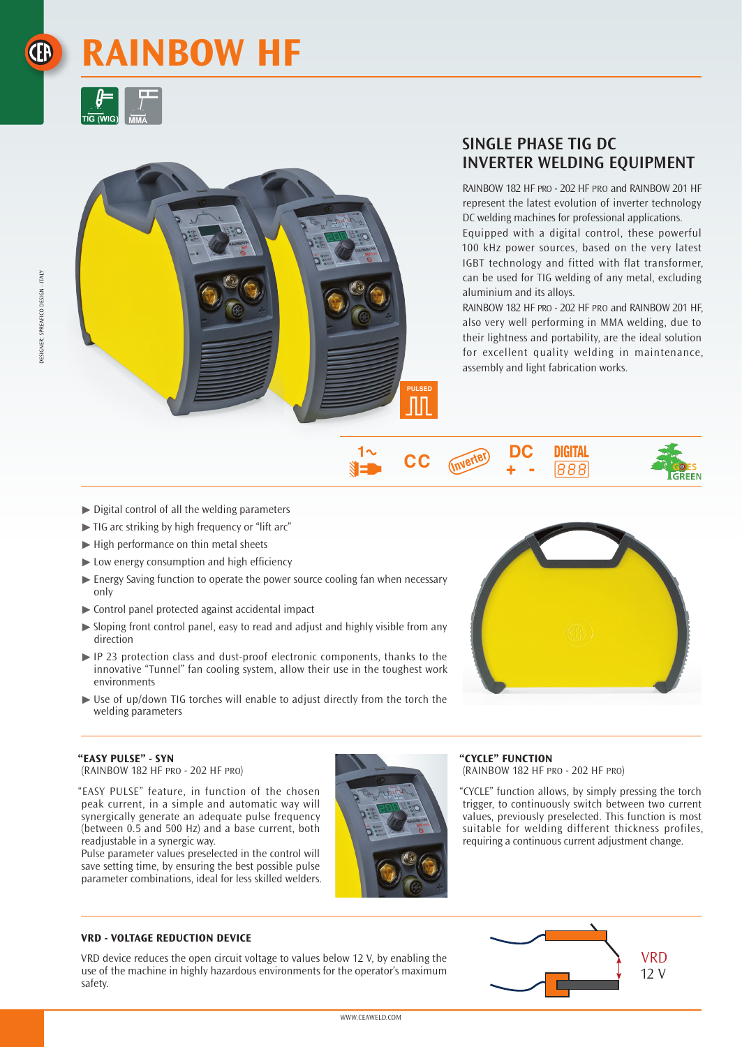# **RAINBOW HF**





# **SINGLE PHASE TIG DC INVERTER WELDING EQUIPMENT**

RAINBOW 182 HF pro - 202 HF pro and RAINBOW 201 HF represent the latest evolution of inverter technology DC welding machines for professional applications.

Equipped with a digital control, these powerful 100 kHz power sources, based on the very latest IGBT technology and fitted with flat transformer, can be used for TIG welding of any metal, excluding aluminium and its alloys.

RAINBOW 182 HF pro - 202 HF pro and RAINBOW 201 HF, also very well performing in MMA welding, due to their lightness and portability, are the ideal solution for excellent quality welding in maintenance, assembly and light fabrication works.

**DIGITAL** 

888

**GREEN** 

DC

1∼

▓▅▆

СC

- $\triangleright$  Digital control of all the welding parameters
- $\blacktriangleright$  TIG arc striking by high frequency or "lift arc"
- $\blacktriangleright$  High performance on thin metal sheets
- $\blacktriangleright$  Low energy consumption and high efficiency
- Energy Saving function to operate the power source cooling fan when necessary only
- <sup>½</sup> Control panel protected against accidental impact
- <sup>½</sup> Sloping front control panel, easy to read and adjust and highly visible from any direction
- ▶ IP 23 protection class and dust-proof electronic components, thanks to the innovative "Tunnel" fan cooling system, allow their use in the toughest work environments
- ▶ Use of up/down TIG torches will enable to adjust directly from the torch the welding parameters



## **"EASY PULSE" - SYN**

(RAINBOW 182 HF pro - 202 HF pro)

"EASY PULSE" feature, in function of the chosen peak current, in a simple and automatic way will synergically generate an adequate pulse frequency (between 0.5 and 500 Hz) and a base current, both readjustable in a synergic way.

Pulse parameter values preselected in the control will save setting time, by ensuring the best possible pulse parameter combinations, ideal for less skilled welders.



#### **"CYCLE" FUNCTION**

(RAINBOW 182 HF pro - 202 HF pro)

"CYCLE" function allows, by simply pressing the torch trigger, to continuously switch between two current values, previously preselected. This function is most suitable for welding different thickness profiles, requiring a continuous current adjustment change.

#### **VRD - VOLTAGE REDUCTION DEVICE**

VRD device reduces the open circuit voltage to values below 12 V, by enabling the use of the machine in highly hazardous environments for the operator's maximum safety.